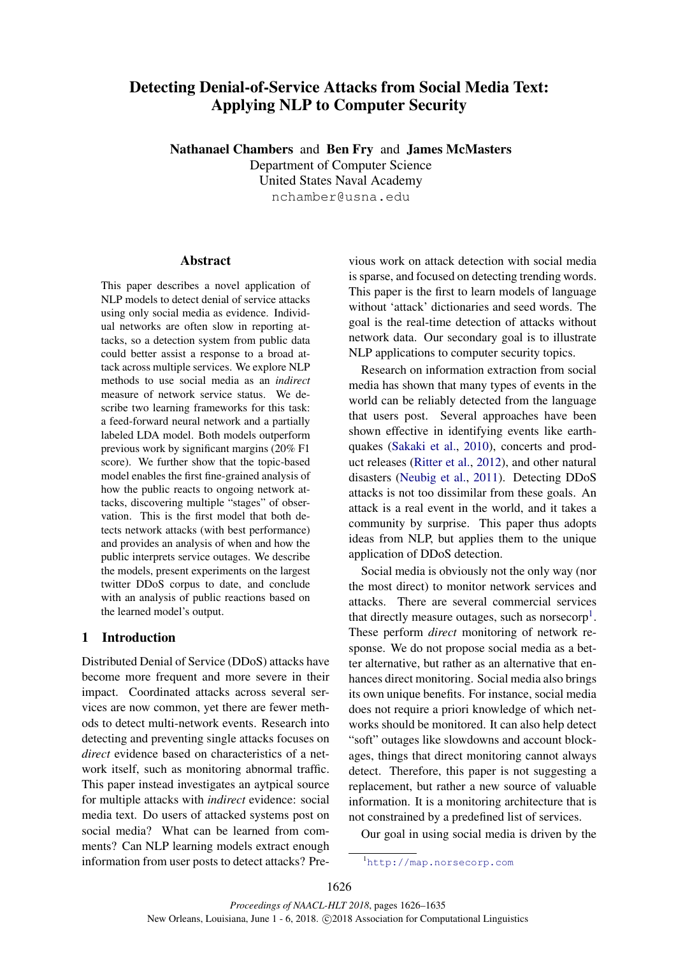# Detecting Denial-of-Service Attacks from Social Media Text: Applying NLP to Computer Security

Nathanael Chambers and Ben Fry and James McMasters Department of Computer Science United States Naval Academy

nchamber@usna.edu

# Abstract

This paper describes a novel application of NLP models to detect denial of service attacks using only social media as evidence. Individual networks are often slow in reporting attacks, so a detection system from public data could better assist a response to a broad attack across multiple services. We explore NLP methods to use social media as an *indirect* measure of network service status. We describe two learning frameworks for this task: a feed-forward neural network and a partially labeled LDA model. Both models outperform previous work by significant margins (20% F1 score). We further show that the topic-based model enables the first fine-grained analysis of how the public reacts to ongoing network attacks, discovering multiple "stages" of observation. This is the first model that both detects network attacks (with best performance) and provides an analysis of when and how the public interprets service outages. We describe the models, present experiments on the largest twitter DDoS corpus to date, and conclude with an analysis of public reactions based on the learned model's output.

# 1 Introduction

Distributed Denial of Service (DDoS) attacks have become more frequent and more severe in their impact. Coordinated attacks across several services are now common, yet there are fewer methods to detect multi-network events. Research into detecting and preventing single attacks focuses on *direct* evidence based on characteristics of a network itself, such as monitoring abnormal traffic. This paper instead investigates an aytpical source for multiple attacks with *indirect* evidence: social media text. Do users of attacked systems post on social media? What can be learned from comments? Can NLP learning models extract enough information from user posts to detect attacks? Pre-

vious work on attack detection with social media is sparse, and focused on detecting trending words. This paper is the first to learn models of language without 'attack' dictionaries and seed words. The goal is the real-time detection of attacks without network data. Our secondary goal is to illustrate NLP applications to computer security topics.

Research on information extraction from social media has shown that many types of events in the world can be reliably detected from the language that users post. Several approaches have been shown effective in identifying events like earthquakes (Sakaki et al., 2010), concerts and product releases (Ritter et al., 2012), and other natural disasters (Neubig et al., 2011). Detecting DDoS attacks is not too dissimilar from these goals. An attack is a real event in the world, and it takes a community by surprise. This paper thus adopts ideas from NLP, but applies them to the unique application of DDoS detection.

Social media is obviously not the only way (nor the most direct) to monitor network services and attacks. There are several commercial services that directly measure outages, such as norsecorp<sup>1</sup>. These perform *direct* monitoring of network response. We do not propose social media as a better alternative, but rather as an alternative that enhances direct monitoring. Social media also brings its own unique benefits. For instance, social media does not require a priori knowledge of which networks should be monitored. It can also help detect "soft" outages like slowdowns and account blockages, things that direct monitoring cannot always detect. Therefore, this paper is not suggesting a replacement, but rather a new source of valuable information. It is a monitoring architecture that is not constrained by a predefined list of services.

Our goal in using social media is driven by the

<sup>1</sup>http://map.norsecorp.com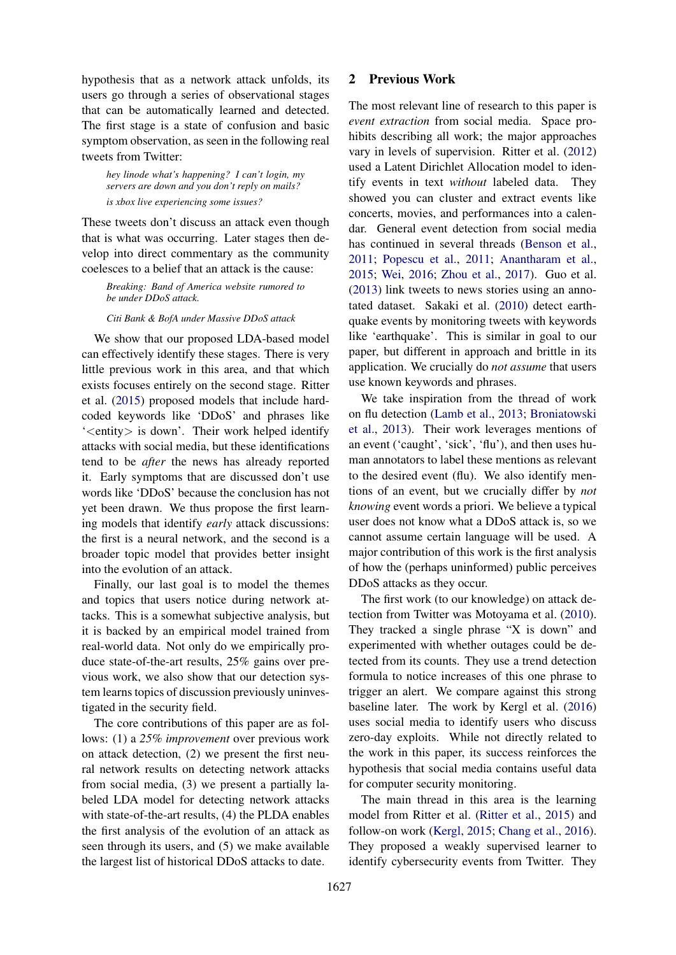hypothesis that as a network attack unfolds, its users go through a series of observational stages that can be automatically learned and detected. The first stage is a state of confusion and basic symptom observation, as seen in the following real tweets from Twitter:

*hey linode what's happening? I can't login, my servers are down and you don't reply on mails? is xbox live experiencing some issues?*

These tweets don't discuss an attack even though that is what was occurring. Later stages then develop into direct commentary as the community coelesces to a belief that an attack is the cause:

*Breaking: Band of America website rumored to be under DDoS attack.*

#### *Citi Bank & BofA under Massive DDoS attack*

We show that our proposed LDA-based model can effectively identify these stages. There is very little previous work in this area, and that which exists focuses entirely on the second stage. Ritter et al. (2015) proposed models that include hardcoded keywords like 'DDoS' and phrases like '<entity> is down'. Their work helped identify attacks with social media, but these identifications tend to be *after* the news has already reported it. Early symptoms that are discussed don't use words like 'DDoS' because the conclusion has not yet been drawn. We thus propose the first learning models that identify *early* attack discussions: the first is a neural network, and the second is a broader topic model that provides better insight into the evolution of an attack.

Finally, our last goal is to model the themes and topics that users notice during network attacks. This is a somewhat subjective analysis, but it is backed by an empirical model trained from real-world data. Not only do we empirically produce state-of-the-art results, 25% gains over previous work, we also show that our detection system learns topics of discussion previously uninvestigated in the security field.

The core contributions of this paper are as follows: (1) a *25% improvement* over previous work on attack detection, (2) we present the first neural network results on detecting network attacks from social media, (3) we present a partially labeled LDA model for detecting network attacks with state-of-the-art results, (4) the PLDA enables the first analysis of the evolution of an attack as seen through its users, and (5) we make available the largest list of historical DDoS attacks to date.

# 2 Previous Work

The most relevant line of research to this paper is *event extraction* from social media. Space prohibits describing all work; the major approaches vary in levels of supervision. Ritter et al. (2012) used a Latent Dirichlet Allocation model to identify events in text *without* labeled data. They showed you can cluster and extract events like concerts, movies, and performances into a calendar. General event detection from social media has continued in several threads (Benson et al., 2011; Popescu et al., 2011; Anantharam et al., 2015; Wei, 2016; Zhou et al., 2017). Guo et al. (2013) link tweets to news stories using an annotated dataset. Sakaki et al. (2010) detect earthquake events by monitoring tweets with keywords like 'earthquake'. This is similar in goal to our paper, but different in approach and brittle in its application. We crucially do *not assume* that users use known keywords and phrases.

We take inspiration from the thread of work on flu detection (Lamb et al., 2013; Broniatowski et al., 2013). Their work leverages mentions of an event ('caught', 'sick', 'flu'), and then uses human annotators to label these mentions as relevant to the desired event (flu). We also identify mentions of an event, but we crucially differ by *not knowing* event words a priori. We believe a typical user does not know what a DDoS attack is, so we cannot assume certain language will be used. A major contribution of this work is the first analysis of how the (perhaps uninformed) public perceives DDoS attacks as they occur.

The first work (to our knowledge) on attack detection from Twitter was Motoyama et al. (2010). They tracked a single phrase "X is down" and experimented with whether outages could be detected from its counts. They use a trend detection formula to notice increases of this one phrase to trigger an alert. We compare against this strong baseline later. The work by Kergl et al. (2016) uses social media to identify users who discuss zero-day exploits. While not directly related to the work in this paper, its success reinforces the hypothesis that social media contains useful data for computer security monitoring.

The main thread in this area is the learning model from Ritter et al. (Ritter et al., 2015) and follow-on work (Kergl, 2015; Chang et al., 2016). They proposed a weakly supervised learner to identify cybersecurity events from Twitter. They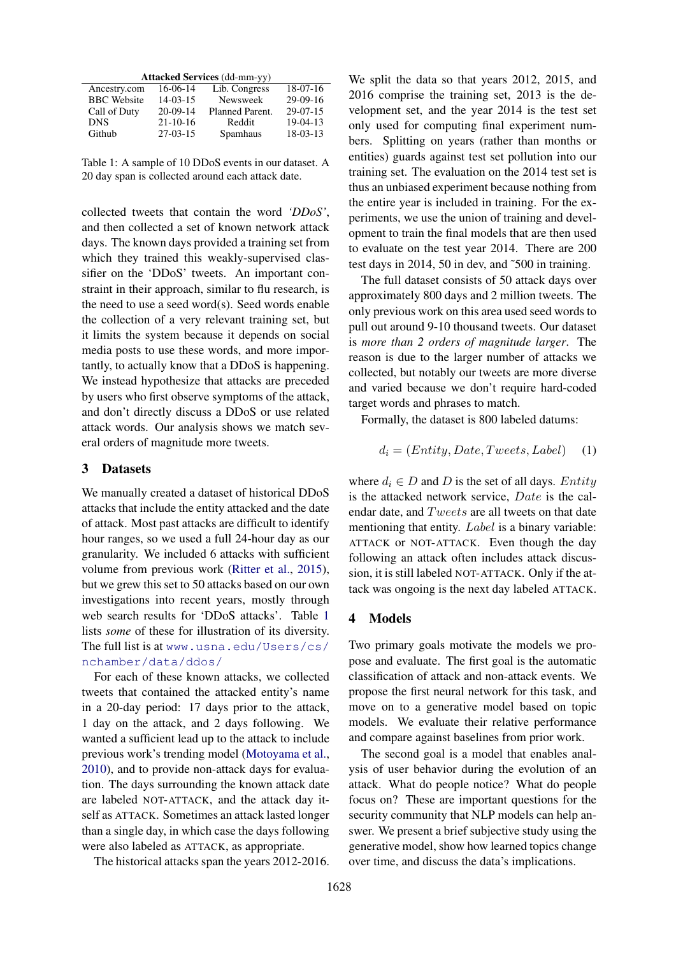|  |  | <b>Attacked Services (dd-mm-yy)</b> |
|--|--|-------------------------------------|
|--|--|-------------------------------------|

| 16-06-14       | Lib. Congress   | $18-07-16$ |
|----------------|-----------------|------------|
| $14 - 03 - 15$ | Newsweek        | $29-09-16$ |
| $20-09-14$     | Planned Parent. | $29-07-15$ |
| $21 - 10 - 16$ | Reddit          | $19-04-13$ |
| $27-03-15$     | Spamhaus        | $18-03-13$ |
|                |                 |            |

Table 1: A sample of 10 DDoS events in our dataset. A 20 day span is collected around each attack date.

collected tweets that contain the word *'DDoS'*, and then collected a set of known network attack days. The known days provided a training set from which they trained this weakly-supervised classifier on the 'DDoS' tweets. An important constraint in their approach, similar to flu research, is the need to use a seed word(s). Seed words enable the collection of a very relevant training set, but it limits the system because it depends on social media posts to use these words, and more importantly, to actually know that a DDoS is happening. We instead hypothesize that attacks are preceded by users who first observe symptoms of the attack, and don't directly discuss a DDoS or use related attack words. Our analysis shows we match several orders of magnitude more tweets.

# 3 Datasets

We manually created a dataset of historical DDoS attacks that include the entity attacked and the date of attack. Most past attacks are difficult to identify hour ranges, so we used a full 24-hour day as our granularity. We included 6 attacks with sufficient volume from previous work (Ritter et al., 2015), but we grew this set to 50 attacks based on our own investigations into recent years, mostly through web search results for 'DDoS attacks'. Table 1 lists *some* of these for illustration of its diversity. The full list is at www.usna.edu/Users/cs/ nchamber/data/ddos/

For each of these known attacks, we collected tweets that contained the attacked entity's name in a 20-day period: 17 days prior to the attack, 1 day on the attack, and 2 days following. We wanted a sufficient lead up to the attack to include previous work's trending model (Motoyama et al., 2010), and to provide non-attack days for evaluation. The days surrounding the known attack date are labeled NOT-ATTACK, and the attack day itself as ATTACK. Sometimes an attack lasted longer than a single day, in which case the days following were also labeled as ATTACK, as appropriate.

The historical attacks span the years 2012-2016.

We split the data so that years 2012, 2015, and 2016 comprise the training set, 2013 is the development set, and the year 2014 is the test set only used for computing final experiment numbers. Splitting on years (rather than months or entities) guards against test set pollution into our training set. The evaluation on the 2014 test set is thus an unbiased experiment because nothing from the entire year is included in training. For the experiments, we use the union of training and development to train the final models that are then used to evaluate on the test year 2014. There are 200 test days in 2014, 50 in dev, and ˜500 in training.

The full dataset consists of 50 attack days over approximately 800 days and 2 million tweets. The only previous work on this area used seed words to pull out around 9-10 thousand tweets. Our dataset is *more than 2 orders of magnitude larger*. The reason is due to the larger number of attacks we collected, but notably our tweets are more diverse and varied because we don't require hard-coded target words and phrases to match.

Formally, the dataset is 800 labeled datums:

$$
d_i = (Entity, Date, Tweets, Label) \quad (1)
$$

where  $d_i \in D$  and D is the set of all days. Entity is the attacked network service, Date is the calendar date, and Tweets are all tweets on that date mentioning that entity. *Label* is a binary variable: ATTACK or NOT-ATTACK. Even though the day following an attack often includes attack discussion, it is still labeled NOT-ATTACK. Only if the attack was ongoing is the next day labeled ATTACK.

#### 4 Models

Two primary goals motivate the models we propose and evaluate. The first goal is the automatic classification of attack and non-attack events. We propose the first neural network for this task, and move on to a generative model based on topic models. We evaluate their relative performance and compare against baselines from prior work.

The second goal is a model that enables analysis of user behavior during the evolution of an attack. What do people notice? What do people focus on? These are important questions for the security community that NLP models can help answer. We present a brief subjective study using the generative model, show how learned topics change over time, and discuss the data's implications.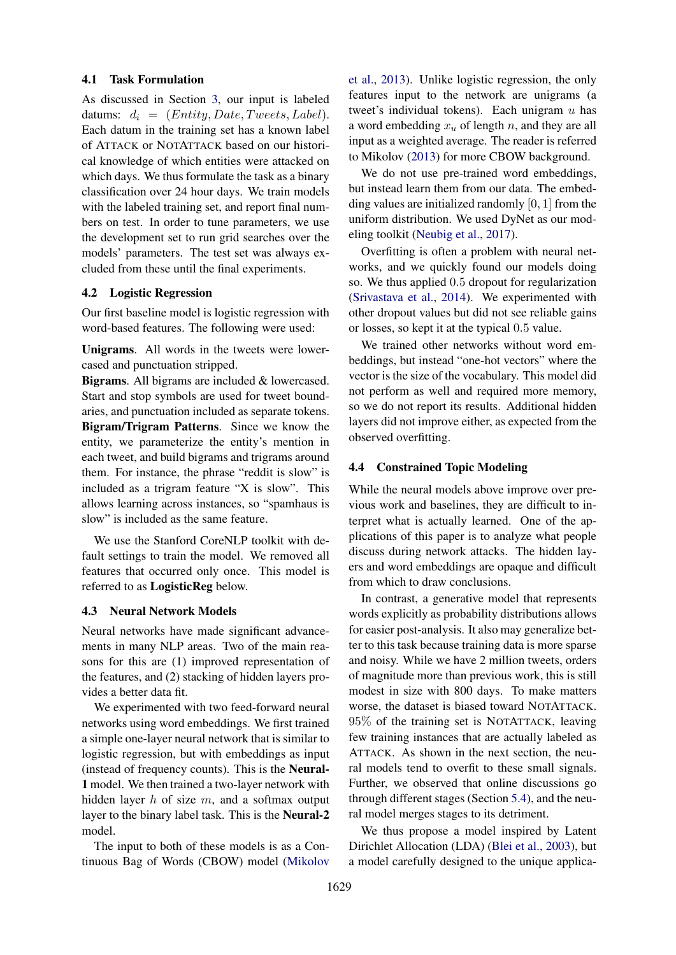#### 4.1 Task Formulation

As discussed in Section 3, our input is labeled datums:  $d_i = (Entity, Date, Tweets, Label).$ Each datum in the training set has a known label of ATTACK or NOTATTACK based on our historical knowledge of which entities were attacked on which days. We thus formulate the task as a binary classification over 24 hour days. We train models with the labeled training set, and report final numbers on test. In order to tune parameters, we use the development set to run grid searches over the models' parameters. The test set was always excluded from these until the final experiments.

# 4.2 Logistic Regression

Our first baseline model is logistic regression with word-based features. The following were used:

Unigrams. All words in the tweets were lowercased and punctuation stripped.

Bigrams. All bigrams are included & lowercased. Start and stop symbols are used for tweet boundaries, and punctuation included as separate tokens. Bigram/Trigram Patterns. Since we know the entity, we parameterize the entity's mention in each tweet, and build bigrams and trigrams around them. For instance, the phrase "reddit is slow" is included as a trigram feature "X is slow". This allows learning across instances, so "spamhaus is slow" is included as the same feature.

We use the Stanford CoreNLP toolkit with default settings to train the model. We removed all features that occurred only once. This model is referred to as LogisticReg below.

#### 4.3 Neural Network Models

Neural networks have made significant advancements in many NLP areas. Two of the main reasons for this are (1) improved representation of the features, and (2) stacking of hidden layers provides a better data fit.

We experimented with two feed-forward neural networks using word embeddings. We first trained a simple one-layer neural network that is similar to logistic regression, but with embeddings as input (instead of frequency counts). This is the Neural-1 model. We then trained a two-layer network with hidden layer  $h$  of size  $m$ , and a softmax output layer to the binary label task. This is the Neural-2 model.

The input to both of these models is as a Continuous Bag of Words (CBOW) model (Mikolov

et al., 2013). Unlike logistic regression, the only features input to the network are unigrams (a tweet's individual tokens). Each unigram  $u$  has a word embedding  $x_u$  of length n, and they are all input as a weighted average. The reader is referred to Mikolov (2013) for more CBOW background.

We do not use pre-trained word embeddings, but instead learn them from our data. The embedding values are initialized randomly  $[0, 1]$  from the uniform distribution. We used DyNet as our modeling toolkit (Neubig et al., 2017).

Overfitting is often a problem with neural networks, and we quickly found our models doing so. We thus applied 0.5 dropout for regularization (Srivastava et al., 2014). We experimented with other dropout values but did not see reliable gains or losses, so kept it at the typical 0.5 value.

We trained other networks without word embeddings, but instead "one-hot vectors" where the vector is the size of the vocabulary. This model did not perform as well and required more memory, so we do not report its results. Additional hidden layers did not improve either, as expected from the observed overfitting.

## 4.4 Constrained Topic Modeling

While the neural models above improve over previous work and baselines, they are difficult to interpret what is actually learned. One of the applications of this paper is to analyze what people discuss during network attacks. The hidden layers and word embeddings are opaque and difficult from which to draw conclusions.

In contrast, a generative model that represents words explicitly as probability distributions allows for easier post-analysis. It also may generalize better to this task because training data is more sparse and noisy. While we have 2 million tweets, orders of magnitude more than previous work, this is still modest in size with 800 days. To make matters worse, the dataset is biased toward NOTATTACK. 95% of the training set is NOTATTACK, leaving few training instances that are actually labeled as ATTACK. As shown in the next section, the neural models tend to overfit to these small signals. Further, we observed that online discussions go through different stages (Section 5.4), and the neural model merges stages to its detriment.

We thus propose a model inspired by Latent Dirichlet Allocation (LDA) (Blei et al., 2003), but a model carefully designed to the unique applica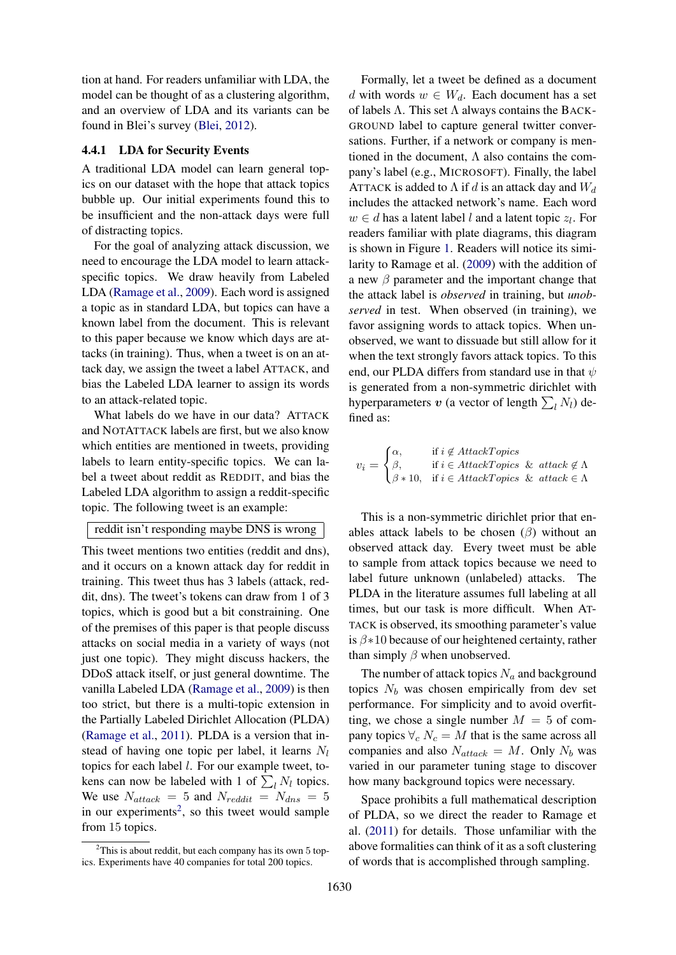tion at hand. For readers unfamiliar with LDA, the model can be thought of as a clustering algorithm, and an overview of LDA and its variants can be found in Blei's survey (Blei, 2012).

## 4.4.1 LDA for Security Events

A traditional LDA model can learn general topics on our dataset with the hope that attack topics bubble up. Our initial experiments found this to be insufficient and the non-attack days were full of distracting topics.

For the goal of analyzing attack discussion, we need to encourage the LDA model to learn attackspecific topics. We draw heavily from Labeled LDA (Ramage et al., 2009). Each word is assigned a topic as in standard LDA, but topics can have a known label from the document. This is relevant to this paper because we know which days are attacks (in training). Thus, when a tweet is on an attack day, we assign the tweet a label ATTACK, and bias the Labeled LDA learner to assign its words to an attack-related topic.

What labels do we have in our data? ATTACK and NOTATTACK labels are first, but we also know which entities are mentioned in tweets, providing labels to learn entity-specific topics. We can label a tweet about reddit as REDDIT, and bias the Labeled LDA algorithm to assign a reddit-specific topic. The following tweet is an example:

#### reddit isn't responding maybe DNS is wrong

This tweet mentions two entities (reddit and dns), and it occurs on a known attack day for reddit in training. This tweet thus has 3 labels (attack, reddit, dns). The tweet's tokens can draw from 1 of 3 topics, which is good but a bit constraining. One of the premises of this paper is that people discuss attacks on social media in a variety of ways (not just one topic). They might discuss hackers, the DDoS attack itself, or just general downtime. The vanilla Labeled LDA (Ramage et al., 2009) is then too strict, but there is a multi-topic extension in the Partially Labeled Dirichlet Allocation (PLDA) (Ramage et al., 2011). PLDA is a version that instead of having one topic per label, it learns  $N_l$ topics for each label l. For our example tweet, tokens can now be labeled with 1 of  $\sum_l N_l$  topics. We use  $N_{attack} = 5$  and  $N_{reddit} = N_{dns} = 5$ in our experiments<sup>2</sup>, so this tweet would sample from 15 topics.

Formally, let a tweet be defined as a document d with words  $w \in W_d$ . Each document has a set of labels  $\Lambda$ . This set  $\Lambda$  always contains the BACK-GROUND label to capture general twitter conversations. Further, if a network or company is mentioned in the document,  $\Lambda$  also contains the company's label (e.g., MICROSOFT). Finally, the label ATTACK is added to  $\Lambda$  if d is an attack day and  $W_d$ includes the attacked network's name. Each word  $w \in d$  has a latent label l and a latent topic  $z_l$ . For readers familiar with plate diagrams, this diagram is shown in Figure 1. Readers will notice its similarity to Ramage et al. (2009) with the addition of a new  $\beta$  parameter and the important change that the attack label is *observed* in training, but *unobserved* in test. When observed (in training), we favor assigning words to attack topics. When unobserved, we want to dissuade but still allow for it when the text strongly favors attack topics. To this end, our PLDA differs from standard use in that  $\psi$ is generated from a non-symmetric dirichlet with hyperparameters  $\boldsymbol{v}$  (a vector of length  $\sum_l N_l$ ) defined as:

$$
v_i = \begin{cases} \alpha, & \text{if } i \notin AttackTopics\\ \beta, & \text{if } i \in AttackTopics \& \text{ attack } \notin \Lambda\\ \beta * 10, & \text{if } i \in AttackTopics \& \text{ attack } \in \Lambda \end{cases}
$$

This is a non-symmetric dirichlet prior that enables attack labels to be chosen  $(\beta)$  without an observed attack day. Every tweet must be able to sample from attack topics because we need to label future unknown (unlabeled) attacks. The PLDA in the literature assumes full labeling at all times, but our task is more difficult. When AT-TACK is observed, its smoothing parameter's value is  $\beta * 10$  because of our heightened certainty, rather than simply  $\beta$  when unobserved.

The number of attack topics  $N_a$  and background topics  $N_b$  was chosen empirically from dev set performance. For simplicity and to avoid overfitting, we chose a single number  $M = 5$  of company topics  $\forall_c N_c = M$  that is the same across all companies and also  $N_{attack} = M$ . Only  $N_b$  was varied in our parameter tuning stage to discover how many background topics were necessary.

Space prohibits a full mathematical description of PLDA, so we direct the reader to Ramage et al. (2011) for details. Those unfamiliar with the above formalities can think of it as a soft clustering of words that is accomplished through sampling.

 $2$ This is about reddit, but each company has its own 5 topics. Experiments have 40 companies for total 200 topics.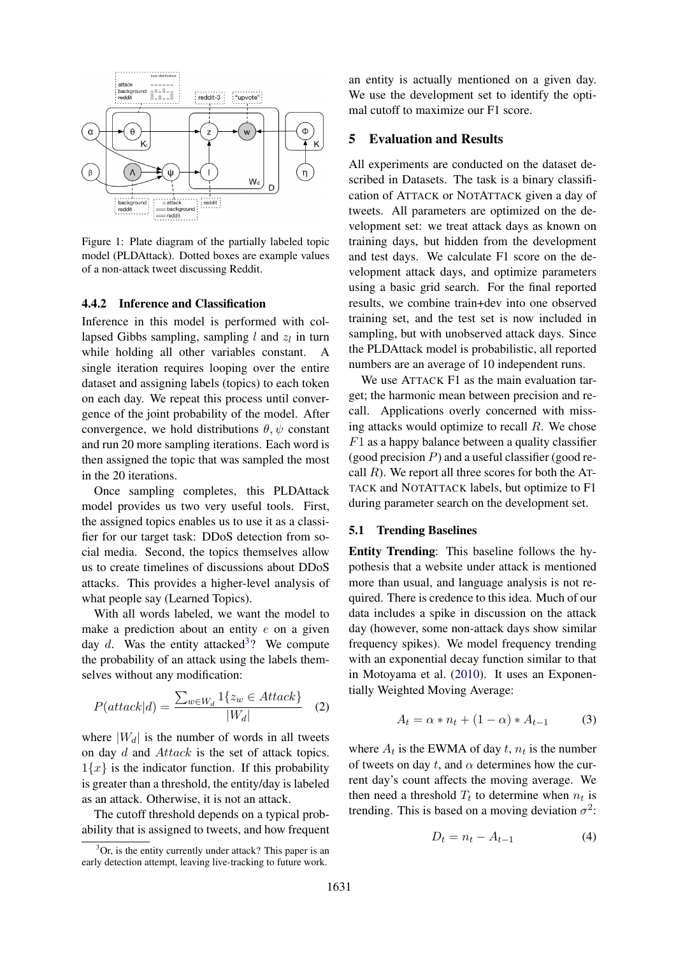

Figure 1: Plate diagram of the partially labeled topic model (PLDAttack). Dotted boxes are example values of a non-attack tweet discussing Reddit.

## 4.4.2 Inference and Classification

Inference in this model is performed with collapsed Gibbs sampling, sampling  $l$  and  $z_l$  in turn while holding all other variables constant. A single iteration requires looping over the entire dataset and assigning labels (topics) to each token on each day. We repeat this process until convergence of the joint probability of the model. After convergence, we hold distributions  $\theta$ ,  $\psi$  constant and run 20 more sampling iterations. Each word is then assigned the topic that was sampled the most in the 20 iterations.

Once sampling completes, this PLDAttack model provides us two very useful tools. First, the assigned topics enables us to use it as a classifier for our target task: DDoS detection from social media. Second, the topics themselves allow us to create timelines of discussions about DDoS attacks. This provides a higher-level analysis of what people say (Learned Topics).

With all words labeled, we want the model to make a prediction about an entity  $e$  on a given day  $d$ . Was the entity attacked<sup>3</sup>? We compute the probability of an attack using the labels themselves without any modification:

$$
P(attack|d) = \frac{\sum_{w \in W_d} 1\{z_w \in Attack\}}{|W_d|}
$$
 (2)

where  $|W_d|$  is the number of words in all tweets on day d and Attack is the set of attack topics.  $1\{x\}$  is the indicator function. If this probability is greater than a threshold, the entity/day is labeled as an attack. Otherwise, it is not an attack.

The cutoff threshold depends on a typical probability that is assigned to tweets, and how frequent an entity is actually mentioned on a given day. We use the development set to identify the optimal cutoff to maximize our F1 score.

## 5 Evaluation and Results

All experiments are conducted on the dataset described in Datasets. The task is a binary classification of ATTACK or NOTATTACK given a day of tweets. All parameters are optimized on the development set: we treat attack days as known on training days, but hidden from the development and test days. We calculate F1 score on the development attack days, and optimize parameters using a basic grid search. For the final reported results, we combine train+dev into one observed training set, and the test set is now included in sampling, but with unobserved attack days. Since the PLDAttack model is probabilistic, all reported numbers are an average of 10 independent runs.

We use ATTACK F1 as the main evaluation target; the harmonic mean between precision and recall. Applications overly concerned with missing attacks would optimize to recall  $R$ . We chose  $F1$  as a happy balance between a quality classifier (good precision  $P$ ) and a useful classifier (good recall  $R$ ). We report all three scores for both the AT-TACK and NOTATTACK labels, but optimize to F1 during parameter search on the development set.

# 5.1 Trending Baselines

Entity Trending: This baseline follows the hypothesis that a website under attack is mentioned more than usual, and language analysis is not required. There is credence to this idea. Much of our data includes a spike in discussion on the attack day (however, some non-attack days show similar frequency spikes). We model frequency trending with an exponential decay function similar to that in Motoyama et al. (2010). It uses an Exponentially Weighted Moving Average:

$$
A_t = \alpha * n_t + (1 - \alpha) * A_{t-1} \tag{3}
$$

where  $A_t$  is the EWMA of day  $t$ ,  $n_t$  is the number of tweets on day t, and  $\alpha$  determines how the current day's count affects the moving average. We then need a threshold  $T_t$  to determine when  $n_t$  is trending. This is based on a moving deviation  $\sigma^2$ :

$$
D_t = n_t - A_{t-1} \tag{4}
$$

 $3$ Or, is the entity currently under attack? This paper is an early detection attempt, leaving live-tracking to future work.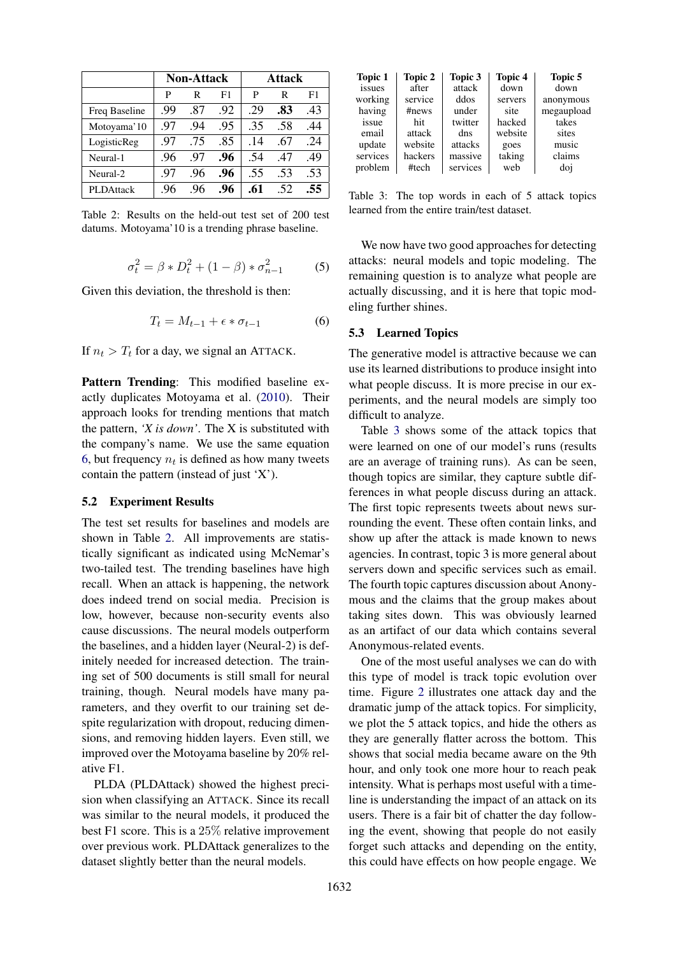|               | <b>Non-Attack</b> |     |     | <b>Attack</b> |     |     |
|---------------|-------------------|-----|-----|---------------|-----|-----|
|               | P                 | R   | F1  | P             | R   | F1  |
| Freq Baseline | .99               | .87 | .92 | .29           | .83 | .43 |
| Motoyama'10   | .97               | .94 | .95 | .35           | .58 | .44 |
| LogisticReg   | .97               | .75 | .85 | .14           | .67 | .24 |
| Neural-1      | .96               | .97 | .96 | .54           | .47 | .49 |
| Neural-2      | .97               | .96 | .96 | .55           | .53 | .53 |
| PLDAttack     | .96               | .96 | .96 | .61           | 52  | .55 |

Table 2: Results on the held-out test set of 200 test datums. Motoyama'10 is a trending phrase baseline.

$$
\sigma_t^2 = \beta * D_t^2 + (1 - \beta) * \sigma_{n-1}^2
$$
 (5)

Given this deviation, the threshold is then:

$$
T_t = M_{t-1} + \epsilon * \sigma_{t-1} \tag{6}
$$

If  $n_t > T_t$  for a day, we signal an ATTACK.

Pattern Trending: This modified baseline exactly duplicates Motoyama et al. (2010). Their approach looks for trending mentions that match the pattern, *'X is down'*. The X is substituted with the company's name. We use the same equation 6, but frequency  $n_t$  is defined as how many tweets contain the pattern (instead of just 'X').

# 5.2 Experiment Results

The test set results for baselines and models are shown in Table 2. All improvements are statistically significant as indicated using McNemar's two-tailed test. The trending baselines have high recall. When an attack is happening, the network does indeed trend on social media. Precision is low, however, because non-security events also cause discussions. The neural models outperform the baselines, and a hidden layer (Neural-2) is definitely needed for increased detection. The training set of 500 documents is still small for neural training, though. Neural models have many parameters, and they overfit to our training set despite regularization with dropout, reducing dimensions, and removing hidden layers. Even still, we improved over the Motoyama baseline by 20% relative F1.

PLDA (PLDAttack) showed the highest precision when classifying an ATTACK. Since its recall was similar to the neural models, it produced the best F1 score. This is a 25% relative improvement over previous work. PLDAttack generalizes to the dataset slightly better than the neural models.

| Topic 2 | Topic 3  | <b>Topic 4</b> | Topic 5    |
|---------|----------|----------------|------------|
| after   | attack   | down           | down       |
| service | ddos     | servers        | anonymous  |
| #news   | under    | site           | megaupload |
| hit     | twitter  | hacked         | takes      |
| attack  | dns      | website        | sites      |
| website | attacks  | goes           | music      |
| hackers | massive  | taking         | claims     |
| #tech   | services | web            | doi        |
|         |          |                |            |

Table 3: The top words in each of 5 attack topics learned from the entire train/test dataset.

We now have two good approaches for detecting attacks: neural models and topic modeling. The remaining question is to analyze what people are actually discussing, and it is here that topic modeling further shines.

#### 5.3 Learned Topics

The generative model is attractive because we can use its learned distributions to produce insight into what people discuss. It is more precise in our experiments, and the neural models are simply too difficult to analyze.

Table 3 shows some of the attack topics that were learned on one of our model's runs (results are an average of training runs). As can be seen, though topics are similar, they capture subtle differences in what people discuss during an attack. The first topic represents tweets about news surrounding the event. These often contain links, and show up after the attack is made known to news agencies. In contrast, topic 3 is more general about servers down and specific services such as email. The fourth topic captures discussion about Anonymous and the claims that the group makes about taking sites down. This was obviously learned as an artifact of our data which contains several Anonymous-related events.

One of the most useful analyses we can do with this type of model is track topic evolution over time. Figure 2 illustrates one attack day and the dramatic jump of the attack topics. For simplicity, we plot the 5 attack topics, and hide the others as they are generally flatter across the bottom. This shows that social media became aware on the 9th hour, and only took one more hour to reach peak intensity. What is perhaps most useful with a timeline is understanding the impact of an attack on its users. There is a fair bit of chatter the day following the event, showing that people do not easily forget such attacks and depending on the entity, this could have effects on how people engage. We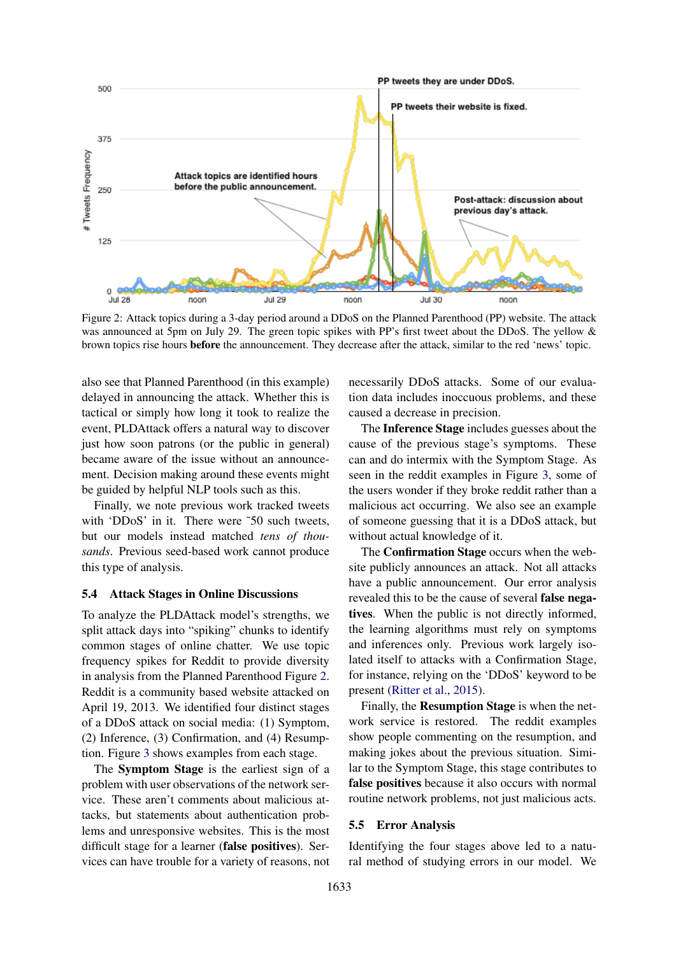

Figure 2: Attack topics during a 3-day period around a DDoS on the Planned Parenthood (PP) website. The attack was announced at 5pm on July 29. The green topic spikes with PP's first tweet about the DDoS. The yellow & brown topics rise hours before the announcement. They decrease after the attack, similar to the red 'news' topic.

also see that Planned Parenthood (in this example) delayed in announcing the attack. Whether this is tactical or simply how long it took to realize the event, PLDAttack offers a natural way to discover just how soon patrons (or the public in general) became aware of the issue without an announcement. Decision making around these events might be guided by helpful NLP tools such as this.

Finally, we note previous work tracked tweets with 'DDoS' in it. There were ~50 such tweets, but our models instead matched *tens of thousands*. Previous seed-based work cannot produce this type of analysis.

#### 5.4 Attack Stages in Online Discussions

To analyze the PLDAttack model's strengths, we split attack days into "spiking" chunks to identify common stages of online chatter. We use topic frequency spikes for Reddit to provide diversity in analysis from the Planned Parenthood Figure 2. Reddit is a community based website attacked on April 19, 2013. We identified four distinct stages of a DDoS attack on social media: (1) Symptom, (2) Inference, (3) Confirmation, and (4) Resumption. Figure 3 shows examples from each stage.

The Symptom Stage is the earliest sign of a problem with user observations of the network service. These aren't comments about malicious attacks, but statements about authentication problems and unresponsive websites. This is the most difficult stage for a learner (false positives). Services can have trouble for a variety of reasons, not necessarily DDoS attacks. Some of our evaluation data includes inoccuous problems, and these caused a decrease in precision.

The Inference Stage includes guesses about the cause of the previous stage's symptoms. These can and do intermix with the Symptom Stage. As seen in the reddit examples in Figure 3, some of the users wonder if they broke reddit rather than a malicious act occurring. We also see an example of someone guessing that it is a DDoS attack, but without actual knowledge of it.

The Confirmation Stage occurs when the website publicly announces an attack. Not all attacks have a public announcement. Our error analysis revealed this to be the cause of several false negatives. When the public is not directly informed, the learning algorithms must rely on symptoms and inferences only. Previous work largely isolated itself to attacks with a Confirmation Stage, for instance, relying on the 'DDoS' keyword to be present (Ritter et al., 2015).

Finally, the Resumption Stage is when the network service is restored. The reddit examples show people commenting on the resumption, and making jokes about the previous situation. Similar to the Symptom Stage, this stage contributes to false positives because it also occurs with normal routine network problems, not just malicious acts.

#### 5.5 Error Analysis

Identifying the four stages above led to a natural method of studying errors in our model. We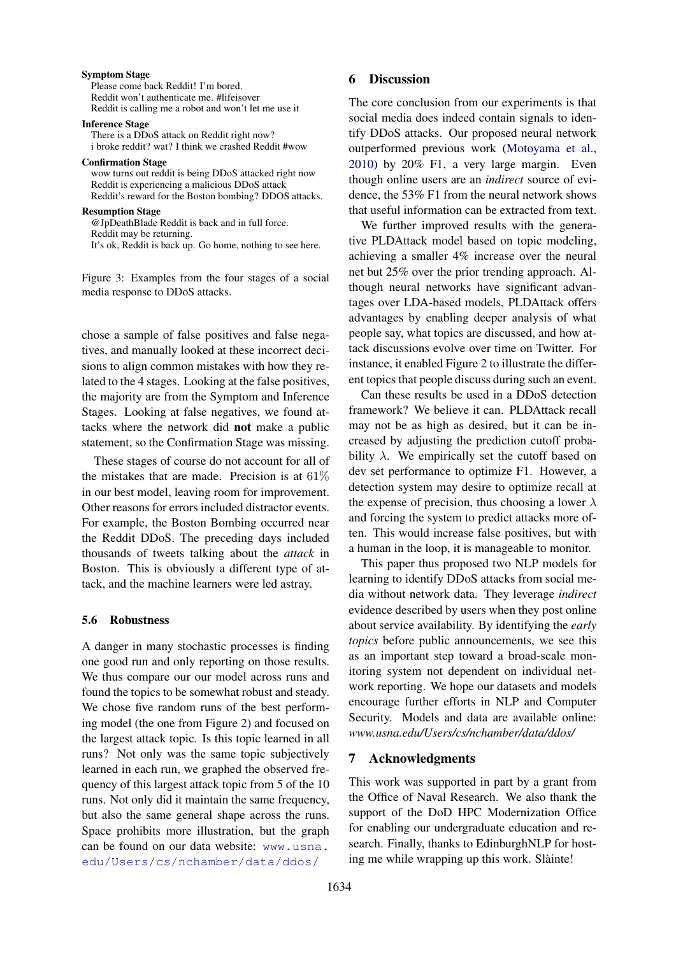#### Symptom Stage

Please come back Reddit! I'm bored. Reddit won't authenticate me. #lifeisover Reddit is calling me a robot and won't let me use it

#### Inference Stage

There is a DDoS attack on Reddit right now? i broke reddit? wat? I think we crashed Reddit #wow

#### Confirmation Stage

wow turns out reddit is being DDoS attacked right now Reddit is experiencing a malicious DDoS attack Reddit's reward for the Boston bombing? DDOS attacks.

#### Resumption Stage

@JpDeathBlade Reddit is back and in full force. Reddit may be returning. It's ok, Reddit is back up. Go home, nothing to see here.

Figure 3: Examples from the four stages of a social media response to DDoS attacks.

chose a sample of false positives and false negatives, and manually looked at these incorrect decisions to align common mistakes with how they related to the 4 stages. Looking at the false positives, the majority are from the Symptom and Inference Stages. Looking at false negatives, we found attacks where the network did not make a public statement, so the Confirmation Stage was missing.

These stages of course do not account for all of the mistakes that are made. Precision is at 61% in our best model, leaving room for improvement. Other reasons for errors included distractor events. For example, the Boston Bombing occurred near the Reddit DDoS. The preceding days included thousands of tweets talking about the *attack* in Boston. This is obviously a different type of attack, and the machine learners were led astray.

#### 5.6 Robustness

A danger in many stochastic processes is finding one good run and only reporting on those results. We thus compare our our model across runs and found the topics to be somewhat robust and steady. We chose five random runs of the best performing model (the one from Figure 2) and focused on the largest attack topic. Is this topic learned in all runs? Not only was the same topic subjectively learned in each run, we graphed the observed frequency of this largest attack topic from 5 of the 10 runs. Not only did it maintain the same frequency, but also the same general shape across the runs. Space prohibits more illustration, but the graph can be found on our data website: www.usna. edu/Users/cs/nchamber/data/ddos/

# 6 Discussion

The core conclusion from our experiments is that social media does indeed contain signals to identify DDoS attacks. Our proposed neural network outperformed previous work (Motoyama et al., 2010) by 20% F1, a very large margin. Even though online users are an *indirect* source of evidence, the 53% F1 from the neural network shows that useful information can be extracted from text.

We further improved results with the generative PLDAttack model based on topic modeling, achieving a smaller 4% increase over the neural net but 25% over the prior trending approach. Although neural networks have significant advantages over LDA-based models, PLDAttack offers advantages by enabling deeper analysis of what people say, what topics are discussed, and how attack discussions evolve over time on Twitter. For instance, it enabled Figure 2 to illustrate the different topics that people discuss during such an event.

Can these results be used in a DDoS detection framework? We believe it can. PLDAttack recall may not be as high as desired, but it can be increased by adjusting the prediction cutoff probability  $\lambda$ . We empirically set the cutoff based on dev set performance to optimize F1. However, a detection system may desire to optimize recall at the expense of precision, thus choosing a lower  $\lambda$ and forcing the system to predict attacks more often. This would increase false positives, but with a human in the loop, it is manageable to monitor.

This paper thus proposed two NLP models for learning to identify DDoS attacks from social media without network data. They leverage *indirect* evidence described by users when they post online about service availability. By identifying the *early topics* before public announcements, we see this as an important step toward a broad-scale monitoring system not dependent on individual network reporting. We hope our datasets and models encourage further efforts in NLP and Computer Security. Models and data are available online: *www.usna.edu/Users/cs/nchamber/data/ddos/*

# 7 Acknowledgments

This work was supported in part by a grant from the Office of Naval Research. We also thank the support of the DoD HPC Modernization Office for enabling our undergraduate education and research. Finally, thanks to EdinburghNLP for hosting me while wrapping up this work. Slàinte!